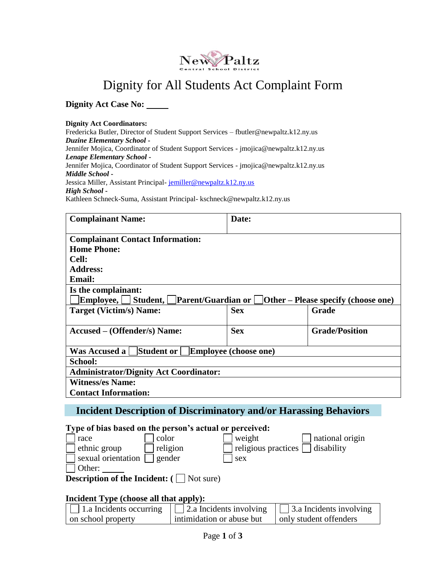

# Dignity for All Students Act Complaint Form

**Dignity Act Case No:**

**Dignity Act Coordinators:** Fredericka Butler, Director of Student Support Services – fbutler@newpaltz.k12.ny.us *Duzine Elementary School* **-** Jennifer Mojica, Coordinator of Student Support Services - [jmojica@newpaltz.k12.ny.us](mailto:jmojica@newpaltz.k12.ny.us) *Lenape Elementary School* **-** Jennifer Mojica, Coordinator of Student Support Services - [jmojica@newpaltz.k12.ny.us](mailto:jmojica@newpaltz.k12.ny.us) *Middle School* **-** Jessica Miller, Assistant Principal- [jemiller@newpaltz.k12.ny.us](mailto:jemiller@newpaltz.k12.ny.us) *High School* **-** Kathleen Schneck-Suma, Assistant Principal- [kschneck@newpaltz.k12.ny.us](mailto:kschneck@newpaltz.k12.ny.us)

| <b>Complainant Name:</b>                                                         | Date:      |                       |  |
|----------------------------------------------------------------------------------|------------|-----------------------|--|
| <b>Complainant Contact Information:</b>                                          |            |                       |  |
| <b>Home Phone:</b>                                                               |            |                       |  |
| <b>Cell:</b>                                                                     |            |                       |  |
| <b>Address:</b>                                                                  |            |                       |  |
| <b>Email:</b>                                                                    |            |                       |  |
| Is the complainant:                                                              |            |                       |  |
| Employee, Student, Parent/Guardian or $\Box$ Other – Please specify (choose one) |            |                       |  |
| Target (Victim/s) Name:                                                          | <b>Sex</b> | Grade                 |  |
|                                                                                  |            |                       |  |
| Accused – (Offender/s) Name:                                                     | <b>Sex</b> | <b>Grade/Position</b> |  |
|                                                                                  |            |                       |  |
| Student or<br><b>Employee (choose one)</b><br><b>Was Accused a</b>               |            |                       |  |
| <b>School:</b>                                                                   |            |                       |  |
| <b>Administrator/Dignity Act Coordinator:</b>                                    |            |                       |  |
| <b>Witness/es Name:</b>                                                          |            |                       |  |
| <b>Contact Information:</b>                                                      |            |                       |  |

### **Incident Description of Discriminatory and/or Harassing Behaviors**

#### **Type of bias based on the person's actual or perceived:**

| race               | color    | $\vert$ weight                               | national origin |
|--------------------|----------|----------------------------------------------|-----------------|
| ethnic group       | religion | $\Box$ religious practices $\Box$ disability |                 |
| sexual orientation | gender   | sex                                          |                 |
| Other:             |          |                                              |                 |
|                    |          |                                              |                 |

**Description of the Incident:** ( $\Box$  Not sure)

#### **Incident Type (choose all that apply):**

| $\Box$ 1.a Incidents occurring | $\vert$ 2.a Incidents involving | $\vert$ 3.a Incidents involving |
|--------------------------------|---------------------------------|---------------------------------|
| on school property             | intimidation or abuse but       | only student offenders          |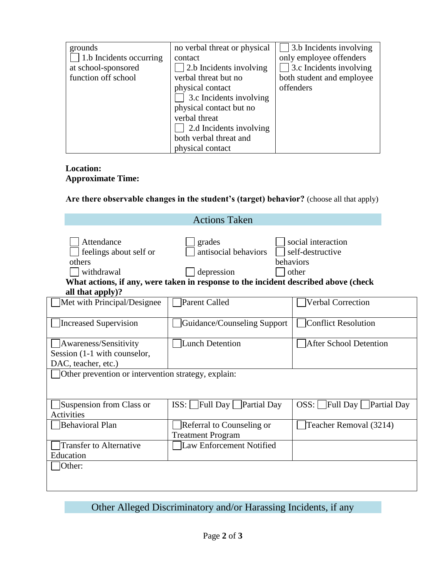| grounds                        | no verbal threat or physical | 3.b Incidents involving        |
|--------------------------------|------------------------------|--------------------------------|
| $\Box$ 1.b Incidents occurring | contact                      | only employee offenders        |
| at school-sponsored            | 2.b Incidents involving      | $\Box$ 3.c Incidents involving |
| function off school            | verbal threat but no         | both student and employee      |
|                                | physical contact             | offenders                      |
|                                | 3.c Incidents involving      |                                |
|                                | physical contact but no      |                                |
|                                | verbal threat                |                                |
|                                | 2.d Incidents involving      |                                |
|                                | both verbal threat and       |                                |
|                                | physical contact             |                                |

#### **Location: Approximate Time:**

**Are there observable changes in the student's (target) behavior?** (choose all that apply)

| <b>Actions Taken</b>                                                             |                                                                                                                                     |                                                              |  |
|----------------------------------------------------------------------------------|-------------------------------------------------------------------------------------------------------------------------------------|--------------------------------------------------------------|--|
| Attendance<br>feelings about self or<br>others<br>withdrawal<br>all that apply)? | grades<br>antisocial behaviors<br>depression<br>What actions, if any, were taken in response to the incident described above (check | social interaction<br>self-destructive<br>behaviors<br>other |  |
| Met with Principal/Designee                                                      | Parent Called                                                                                                                       | <b>Verbal Correction</b>                                     |  |
| Increased Supervision                                                            | Guidance/Counseling Support                                                                                                         | Conflict Resolution                                          |  |
| Awareness/Sensitivity<br>Session (1-1 with counselor,<br>DAC, teacher, etc.)     | Lunch Detention                                                                                                                     | <b>After School Detention</b>                                |  |
| Other prevention or intervention strategy, explain:                              |                                                                                                                                     |                                                              |  |
| Suspension from Class or<br>Activities                                           | $ISS:$ Full Day<br>Partial Day                                                                                                      | OSS: Full Day Partial Day                                    |  |
| Behavioral Plan                                                                  | Referral to Counseling or<br><b>Treatment Program</b>                                                                               | Teacher Removal (3214)                                       |  |
| <b>Transfer to Alternative</b><br>Education                                      | Law Enforcement Notified                                                                                                            |                                                              |  |
| Other:                                                                           |                                                                                                                                     |                                                              |  |

Other Alleged Discriminatory and/or Harassing Incidents, if any